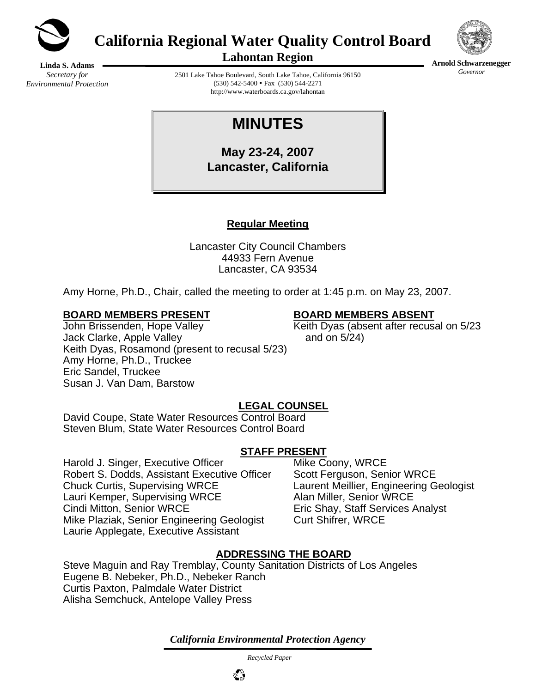

**California Regional Water Quality Control Board** 



**Arnold Schwarzenegger** *Governor* 

**Lahontan Region** 

**Linda S. Adams**  *Secretary for Environmental Protection* 

2501 Lake Tahoe Boulevard, South Lake Tahoe, California 96150  $(530)$  542-5400 • Fax  $(530)$  544-2271 http://www.waterboards.ca.gov/lahontan

# **MINUTES**

**May 23-24, 2007 Lancaster, California** 

# **Regular Meeting**

Lancaster City Council Chambers 44933 Fern Avenue Lancaster, CA 93534

Amy Horne, Ph.D., Chair, called the meeting to order at 1:45 p.m. on May 23, 2007.

### **BOARD MEMBERS PRESENT BOARD MEMBERS ABSENT**

John Brissenden, Hope Valley Manuel Aleith Dyas (absent after recusal on 5/23 Jack Clarke, Apple Valley and on 5/24) Keith Dyas, Rosamond (present to recusal 5/23) Amy Horne, Ph.D., Truckee Eric Sandel, Truckee Susan J. Van Dam, Barstow

# **LEGAL COUNSEL**

David Coupe, State Water Resources Control Board Steven Blum, State Water Resources Control Board

# **STAFF PRESENT**

Harold J. Singer, Executive Officer Mike Coony, WRCE Robert S. Dodds, Assistant Executive Officer Scott Ferguson, Senior WRCE Chuck Curtis, Supervising WRCE Laurent Meillier, Engineering Geologist Lauri Kemper, Supervising WRCE Alan Miller, Senior WRCE Cindi Mitton, Senior WRCE Eric Shay, Staff Services Analyst Mike Plaziak, Senior Engineering Geologist Curt Shifrer, WRCE Laurie Applegate, Executive Assistant

# **ADDRESSING THE BOARD**

Steve Maguin and Ray Tremblay, County Sanitation Districts of Los Angeles Eugene B. Nebeker, Ph.D., Nebeker Ranch Curtis Paxton, Palmdale Water District Alisha Semchuck, Antelope Valley Press

*California Environmental Protection Agency*

 *Recycled Paper*

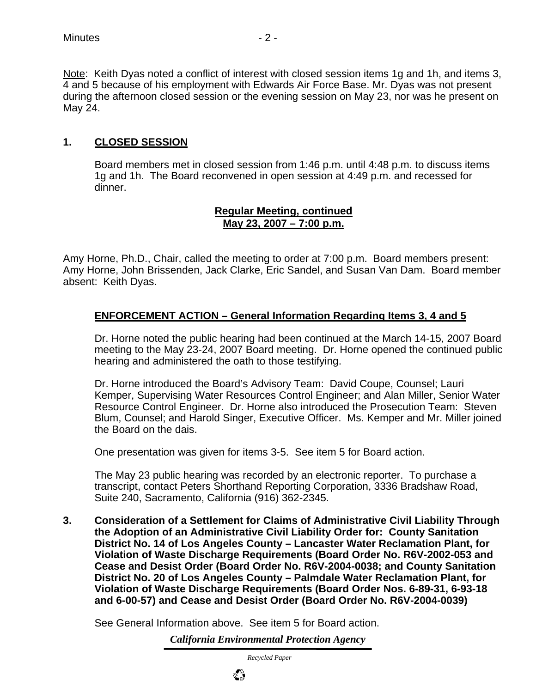## **1. CLOSED SESSION**

Board members met in closed session from 1:46 p.m. until 4:48 p.m. to discuss items 1g and 1h. The Board reconvened in open session at 4:49 p.m. and recessed for dinner.

#### **Regular Meeting, continued May 23, 2007 – 7:00 p.m.**

Amy Horne, Ph.D., Chair, called the meeting to order at 7:00 p.m. Board members present: Amy Horne, John Brissenden, Jack Clarke, Eric Sandel, and Susan Van Dam. Board member absent: Keith Dyas.

#### **ENFORCEMENT ACTION – General Information Regarding Items 3, 4 and 5**

Dr. Horne noted the public hearing had been continued at the March 14-15, 2007 Board meeting to the May 23-24, 2007 Board meeting. Dr. Horne opened the continued public hearing and administered the oath to those testifying.

Dr. Horne introduced the Board's Advisory Team: David Coupe, Counsel; Lauri Kemper, Supervising Water Resources Control Engineer; and Alan Miller, Senior Water Resource Control Engineer. Dr. Horne also introduced the Prosecution Team: Steven Blum, Counsel; and Harold Singer, Executive Officer. Ms. Kemper and Mr. Miller joined the Board on the dais.

One presentation was given for items 3-5. See item 5 for Board action.

The May 23 public hearing was recorded by an electronic reporter. To purchase a transcript, contact Peters Shorthand Reporting Corporation, 3336 Bradshaw Road, Suite 240, Sacramento, California (916) 362-2345.

**3. Consideration of a Settlement for Claims of Administrative Civil Liability Through the Adoption of an Administrative Civil Liability Order for: County Sanitation District No. 14 of Los Angeles County – Lancaster Water Reclamation Plant, for Violation of Waste Discharge Requirements (Board Order No. R6V-2002-053 and Cease and Desist Order (Board Order No. R6V-2004-0038; and County Sanitation District No. 20 of Los Angeles County – Palmdale Water Reclamation Plant, for Violation of Waste Discharge Requirements (Board Order Nos. 6-89-31, 6-93-18 and 6-00-57) and Cease and Desist Order (Board Order No. R6V-2004-0039)** 

See General Information above. See item 5 for Board action.

*California Environmental Protection Agency*

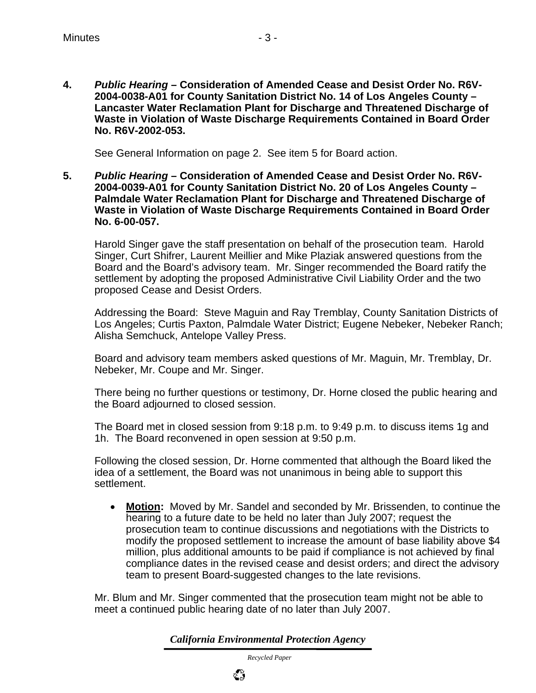**4.** *Public Hearing* **– Consideration of Amended Cease and Desist Order No. R6V-2004-0038-A01 for County Sanitation District No. 14 of Los Angeles County – Lancaster Water Reclamation Plant for Discharge and Threatened Discharge of Waste in Violation of Waste Discharge Requirements Contained in Board Order No. R6V-2002-053.** 

See General Information on page 2. See item 5 for Board action.

**5.** *Public Hearing* **– Consideration of Amended Cease and Desist Order No. R6V-2004-0039-A01 for County Sanitation District No. 20 of Los Angeles County – Palmdale Water Reclamation Plant for Discharge and Threatened Discharge of Waste in Violation of Waste Discharge Requirements Contained in Board Order No. 6-00-057.** 

 Harold Singer gave the staff presentation on behalf of the prosecution team. Harold Singer, Curt Shifrer, Laurent Meillier and Mike Plaziak answered questions from the Board and the Board's advisory team. Mr. Singer recommended the Board ratify the settlement by adopting the proposed Administrative Civil Liability Order and the two proposed Cease and Desist Orders.

 Addressing the Board: Steve Maguin and Ray Tremblay, County Sanitation Districts of Los Angeles; Curtis Paxton, Palmdale Water District; Eugene Nebeker, Nebeker Ranch; Alisha Semchuck, Antelope Valley Press.

 Board and advisory team members asked questions of Mr. Maguin, Mr. Tremblay, Dr. Nebeker, Mr. Coupe and Mr. Singer.

 There being no further questions or testimony, Dr. Horne closed the public hearing and the Board adjourned to closed session.

 The Board met in closed session from 9:18 p.m. to 9:49 p.m. to discuss items 1g and 1h. The Board reconvened in open session at 9:50 p.m.

 Following the closed session, Dr. Horne commented that although the Board liked the idea of a settlement, the Board was not unanimous in being able to support this settlement.

• **Motion:** Moved by Mr. Sandel and seconded by Mr. Brissenden, to continue the hearing to a future date to be held no later than July 2007; request the prosecution team to continue discussions and negotiations with the Districts to modify the proposed settlement to increase the amount of base liability above \$4 million, plus additional amounts to be paid if compliance is not achieved by final compliance dates in the revised cease and desist orders; and direct the advisory team to present Board-suggested changes to the late revisions.

Mr. Blum and Mr. Singer commented that the prosecution team might not be able to meet a continued public hearing date of no later than July 2007.

*California Environmental Protection Agency*

 *Recycled Paper*

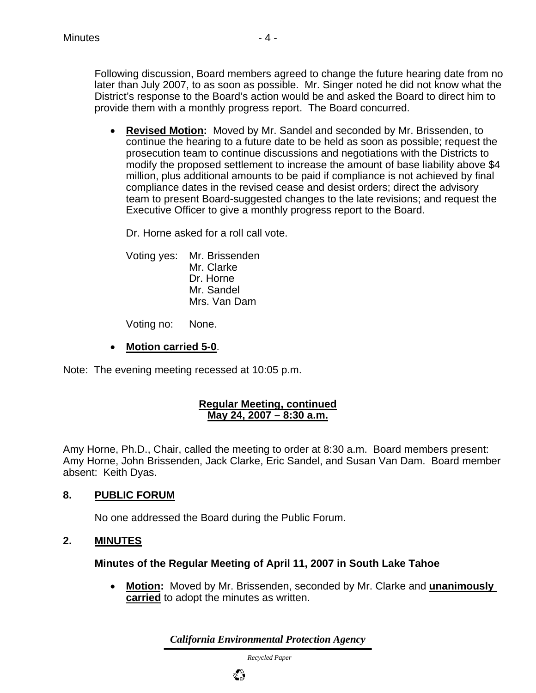Following discussion, Board members agreed to change the future hearing date from no later than July 2007, to as soon as possible. Mr. Singer noted he did not know what the District's response to the Board's action would be and asked the Board to direct him to provide them with a monthly progress report. The Board concurred.

• **Revised Motion:** Moved by Mr. Sandel and seconded by Mr. Brissenden, to continue the hearing to a future date to be held as soon as possible; request the prosecution team to continue discussions and negotiations with the Districts to modify the proposed settlement to increase the amount of base liability above \$4 million, plus additional amounts to be paid if compliance is not achieved by final compliance dates in the revised cease and desist orders; direct the advisory team to present Board-suggested changes to the late revisions; and request the Executive Officer to give a monthly progress report to the Board.

Dr. Horne asked for a roll call vote.

Voting yes: Mr. Brissenden Mr. Clarke Dr. Horne Mr. Sandel Mrs. Van Dam

Voting no: None.

• **Motion carried 5-0**.

Note: The evening meeting recessed at 10:05 p.m.

#### **Regular Meeting, continued May 24, 2007 – 8:30 a.m.**

Amy Horne, Ph.D., Chair, called the meeting to order at 8:30 a.m. Board members present: Amy Horne, John Brissenden, Jack Clarke, Eric Sandel, and Susan Van Dam. Board member absent: Keith Dyas.

# **8. PUBLIC FORUM**

No one addressed the Board during the Public Forum.

#### **2. MINUTES**

#### **Minutes of the Regular Meeting of April 11, 2007 in South Lake Tahoe**

• **Motion:** Moved by Mr. Brissenden, seconded by Mr. Clarke and **unanimously carried** to adopt the minutes as written.

*California Environmental Protection Agency*

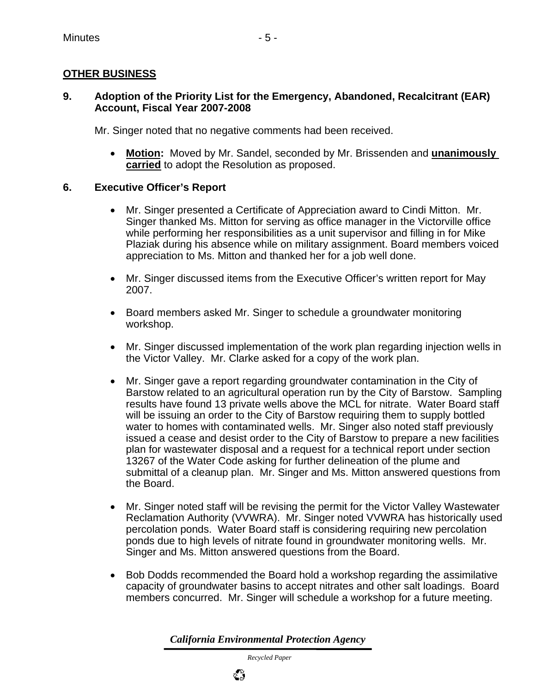# **OTHER BUSINESS**

### **9. Adoption of the Priority List for the Emergency, Abandoned, Recalcitrant (EAR) Account, Fiscal Year 2007-2008**

Mr. Singer noted that no negative comments had been received.

• **Motion:** Moved by Mr. Sandel, seconded by Mr. Brissenden and **unanimously carried** to adopt the Resolution as proposed.

# **6. Executive Officer's Report**

- Mr. Singer presented a Certificate of Appreciation award to Cindi Mitton. Mr. Singer thanked Ms. Mitton for serving as office manager in the Victorville office while performing her responsibilities as a unit supervisor and filling in for Mike Plaziak during his absence while on military assignment. Board members voiced appreciation to Ms. Mitton and thanked her for a job well done.
- Mr. Singer discussed items from the Executive Officer's written report for May 2007.
- Board members asked Mr. Singer to schedule a groundwater monitoring workshop.
- Mr. Singer discussed implementation of the work plan regarding injection wells in the Victor Valley. Mr. Clarke asked for a copy of the work plan.
- Mr. Singer gave a report regarding groundwater contamination in the City of Barstow related to an agricultural operation run by the City of Barstow. Sampling results have found 13 private wells above the MCL for nitrate. Water Board staff will be issuing an order to the City of Barstow requiring them to supply bottled water to homes with contaminated wells. Mr. Singer also noted staff previously issued a cease and desist order to the City of Barstow to prepare a new facilities plan for wastewater disposal and a request for a technical report under section 13267 of the Water Code asking for further delineation of the plume and submittal of a cleanup plan. Mr. Singer and Ms. Mitton answered questions from the Board.
- Mr. Singer noted staff will be revising the permit for the Victor Valley Wastewater Reclamation Authority (VVWRA). Mr. Singer noted VVWRA has historically used percolation ponds. Water Board staff is considering requiring new percolation ponds due to high levels of nitrate found in groundwater monitoring wells. Mr. Singer and Ms. Mitton answered questions from the Board.
- Bob Dodds recommended the Board hold a workshop regarding the assimilative capacity of groundwater basins to accept nitrates and other salt loadings. Board members concurred. Mr. Singer will schedule a workshop for a future meeting.

*California Environmental Protection Agency*